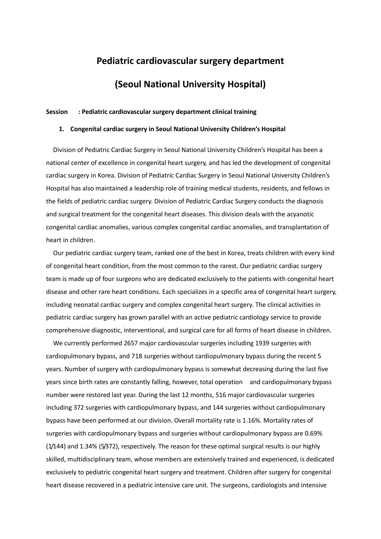# **Pediatric cardiovascular surgery department**

# **(Seoul National University Hospital)**

## **Session : Pediatric cardiovascular surgery department clinical training**

#### **1. Congenital cardiac surgery in Seoul National University Children's Hospital**

Division of Pediatric Cardiac Surgery in Seoul National University Children's Hospital has been a national center of excellence in congenital heart surgery, and has led the development of congenital cardiac surgery in Korea. Division of Pediatric Cardiac Surgery in Seoul National University Children's Hospital has also maintained a leadership role of training medical students, residents, and fellows in the fields of pediatric cardiac surgery. Division of Pediatric Cardiac Surgery conducts the diagnosis and surgical treatment for the congenital heart diseases. This division deals with the acyanotic congenital cardiac anomalies, various complex congenital cardiac anomalies, and transplantation of heart in children.

Our pediatric cardiac surgery team, ranked one of the best in Korea, treats children with every kind of congenital heart condition, from the most common to the rarest. Our pediatric cardiac surgery team is made up of four surgeons who are dedicated exclusively to the patients with congenital heart disease and other rare heart conditions. Each specializes in a specific area of congenital heart surgery, including neonatal cardiac surgery and complex congenital heart surgery. The clinical activities in pediatric cardiac surgery has grown parallel with an active pediatric cardiology service to provide comprehensive diagnostic, interventional, and surgical care for all forms of heart disease in children.

We currently performed 2657 major cardiovascular surgeries including 1939 surgeries with cardiopulmonary bypass, and 718 surgeries without cardiopulmonary bypass during the recent 5 years. Number of surgery with cardiopulmonary bypass is somewhat decreasing during the last five years since birth rates are constantly falling, however, total operation and cardiopulmonary bypass number were restored last year. During the last 12 months, 516 major cardiovascular surgeries including 372 surgeries with cardiopulmonary bypass, and 144 surgeries without cardiopulmonary bypass have been performed at our division. Overall mortality rate is 1.16%. Mortality rates of surgeries with cardiopulmonary bypass and surgeries without cardiopulmonary bypass are 0.69% (1/144) and 1.34% (5/372), respectively. The reason for these optimal surgical results is our highly skilled, multidisciplinary team, whose members are extensively trained and experienced, is dedicated exclusively to pediatric congenital heart surgery and treatment. Children after surgery for congenital heart disease recovered in a pediatric intensive care unit. The surgeons, cardiologists and intensive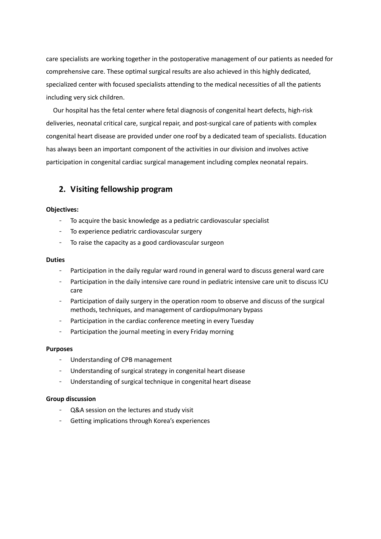care specialists are working together in the postoperative management of our patients as needed for comprehensive care. These optimal surgical results are also achieved in this highly dedicated, specialized center with focused specialists attending to the medical necessities of all the patients including very sick children.

Our hospital has the fetal center where fetal diagnosis of congenital heart defects, high-risk deliveries, neonatal critical care, surgical repair, and post-surgical care of patients with complex congenital heart disease are provided under one roof by a dedicated team of specialists. Education has always been an important component of the activities in our division and involves active participation in congenital cardiac surgical management including complex neonatal repairs.

# **2. Visiting fellowship program**

## **Objectives:**

- To acquire the basic knowledge as a pediatric cardiovascular specialist
- To experience pediatric cardiovascular surgery
- To raise the capacity as a good cardiovascular surgeon

### **Duties**

- Participation in the daily regular ward round in general ward to discuss general ward care
- Participation in the daily intensive care round in pediatric intensive care unit to discuss ICU care
- Participation of daily surgery in the operation room to observe and discuss of the surgical methods, techniques, and management of cardiopulmonary bypass
- Participation in the cardiac conference meeting in every Tuesday
- Participation the journal meeting in every Friday morning

## **Purposes**

- Understanding of CPB management
- Understanding of surgical strategy in congenital heart disease
- Understanding of surgical technique in congenital heart disease

### **Group discussion**

- Q&A session on the lectures and study visit
- Getting implications through Korea's experiences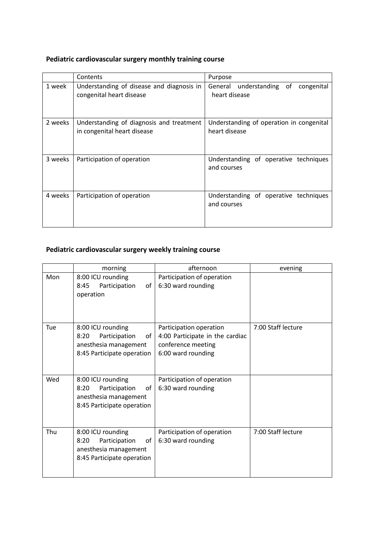# **Pediatric cardiovascular surgery monthly training course**

|         | Contents                                                                | Purpose                                                   |
|---------|-------------------------------------------------------------------------|-----------------------------------------------------------|
| 1 week  | Understanding of disease and diagnosis in<br>congenital heart disease   | General understanding of<br>congenital<br>heart disease   |
| 2 weeks | Understanding of diagnosis and treatment<br>in congenital heart disease | Understanding of operation in congenital<br>heart disease |
| 3 weeks | Participation of operation                                              | Understanding of operative techniques<br>and courses      |
| 4 weeks | Participation of operation                                              | Understanding of operative techniques<br>and courses      |

# **Pediatric cardiovascular surgery weekly training course**

|     | morning                                                                                                 | afternoon                                                                                              | evening            |
|-----|---------------------------------------------------------------------------------------------------------|--------------------------------------------------------------------------------------------------------|--------------------|
| Mon | 8:00 ICU rounding<br>Participation<br>8:45<br>οf<br>operation                                           | Participation of operation<br>6:30 ward rounding                                                       |                    |
| Tue | 8:00 ICU rounding<br>8:20<br>Participation<br>of<br>anesthesia management<br>8:45 Participate operation | Participation operation<br>4:00 Participate in the cardiac<br>conference meeting<br>6:00 ward rounding | 7:00 Staff lecture |
| Wed | 8:00 ICU rounding<br>Participation<br>8:20<br>of<br>anesthesia management<br>8:45 Participate operation | Participation of operation<br>6:30 ward rounding                                                       |                    |
| Thu | 8:00 ICU rounding<br>8:20<br>Participation<br>of<br>anesthesia management<br>8:45 Participate operation | Participation of operation<br>6:30 ward rounding                                                       | 7:00 Staff lecture |